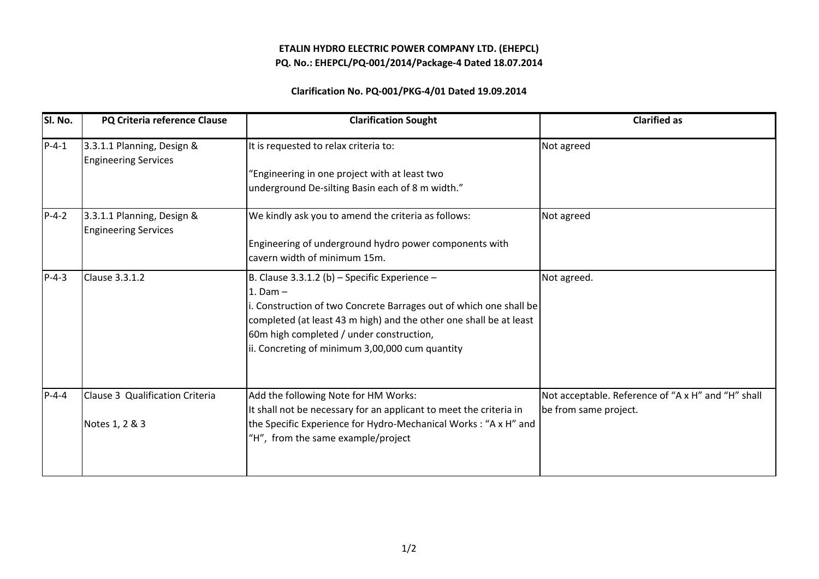## ETALIN HYDRO ELECTRIC POWER COMPANY LTD. (EHEPCL)PQ. No.: EHEPCL/PQ-001/2014/Package-4 Dated 18.07.2014

## Clarification No. PQ-001/PKG-4/01 Dated 19.09.2014

| SI. No.     | PQ Criteria reference Clause                              | <b>Clarification Sought</b>                                        | <b>Clarified as</b>                                |
|-------------|-----------------------------------------------------------|--------------------------------------------------------------------|----------------------------------------------------|
| $P-4-1$     | 3.3.1.1 Planning, Design &<br><b>Engineering Services</b> | It is requested to relax criteria to:                              | Not agreed                                         |
|             |                                                           | "Engineering in one project with at least two                      |                                                    |
|             |                                                           | underground De-silting Basin each of 8 m width."                   |                                                    |
| $P-4-2$     | 3.3.1.1 Planning, Design &<br><b>Engineering Services</b> | We kindly ask you to amend the criteria as follows:                | Not agreed                                         |
|             |                                                           | Engineering of underground hydro power components with             |                                                    |
|             |                                                           | cavern width of minimum 15m.                                       |                                                    |
| $P - 4 - 3$ | <b>Clause 3.3.1.2</b>                                     | B. Clause 3.3.1.2 (b) – Specific Experience –                      | Not agreed.                                        |
|             |                                                           | 1. Dam $-$                                                         |                                                    |
|             |                                                           | i. Construction of two Concrete Barrages out of which one shall be |                                                    |
|             |                                                           | completed (at least 43 m high) and the other one shall be at least |                                                    |
|             |                                                           | 60m high completed / under construction,                           |                                                    |
|             |                                                           | ii. Concreting of minimum 3,00,000 cum quantity                    |                                                    |
|             |                                                           |                                                                    |                                                    |
| $P - 4 - 4$ | Clause 3 Qualification Criteria                           | Add the following Note for HM Works:                               | Not acceptable. Reference of "A x H" and "H" shall |
|             |                                                           | It shall not be necessary for an applicant to meet the criteria in | be from same project.                              |
|             | Notes 1, 2 & 3                                            | the Specific Experience for Hydro-Mechanical Works: "A x H" and    |                                                    |
|             |                                                           | "H", from the same example/project                                 |                                                    |
|             |                                                           |                                                                    |                                                    |
|             |                                                           |                                                                    |                                                    |